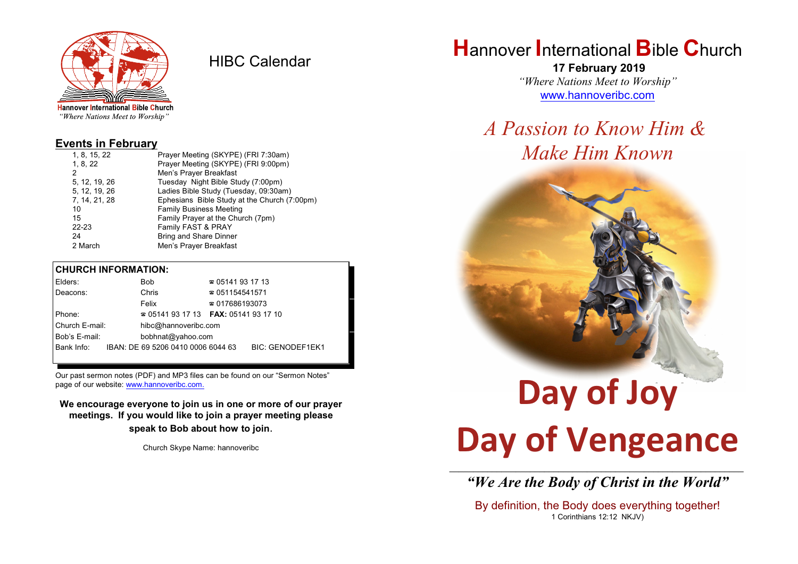

HIBC Calendar

"Where Nations Meet to Worship"

#### **Events in February**

| 1, 8, 15, 22  | Prayer Meeting (SKYPE) (FRI 7:30am)          |
|---------------|----------------------------------------------|
| 1, 8, 22      | Prayer Meeting (SKYPE) (FRI 9:00pm)          |
| 2             | Men's Prayer Breakfast                       |
| 5, 12, 19, 26 | Tuesday Night Bible Study (7:00pm)           |
| 5, 12, 19, 26 | Ladies Bible Study (Tuesday, 09:30am)        |
| 7, 14, 21, 28 | Ephesians Bible Study at the Church (7:00pm) |
| 10            | <b>Family Business Meeting</b>               |
| 15            | Family Prayer at the Church (7pm)            |
| $22 - 23$     | Family FAST & PRAY                           |
| 24            | <b>Bring and Share Dinner</b>                |
| 2 March       | Men's Prayer Breakfast                       |
|               |                                              |

#### **CHURCH INFORMATION:**

|                                    | Elders:    |  | Bob                                | $\approx 05141931713$                    |                         |  |
|------------------------------------|------------|--|------------------------------------|------------------------------------------|-------------------------|--|
|                                    | Deacons:   |  | Chris                              | $\approx 051154541571$                   |                         |  |
|                                    |            |  | Felix                              | $\approx 017686193073$                   |                         |  |
| Phone:                             |            |  |                                    | $\approx 05141931713$ FAX: 0514193 17 10 |                         |  |
| Church E-mail:                     |            |  | hibc@hannoveribc.com               |                                          |                         |  |
| Bob's E-mail:<br>bobhnat@yahoo.com |            |  |                                    |                                          |                         |  |
|                                    | Bank Info: |  | IBAN: DE 69 5206 0410 0006 6044 63 |                                          | <b>BIC: GENODEF1EK1</b> |  |
|                                    |            |  |                                    |                                          |                         |  |

Our past sermon notes (PDF) and MP3 files can be found on our "Sermon Notes" page of our website: [www.hannoveribc.com.](http://www.hannoveribc.com.)

**We encourage everyone to join us in one or more of our prayer meetings. If you would like to join a prayer meeting please speak to Bob about how to join**.

Church Skype Name: hannoveribc

## **H**annover **I**nternational **B**ible **C**hurch

 **17 February 2019** *"Where Nations Meet to Worship"* [www.hannoveribc.com](http://www.hannoveribc.com)

## *A Passion to Know Him & Make Him Known*



# **Day of Vengeance**

\_\_\_\_\_\_\_\_\_\_\_\_\_\_\_\_\_\_\_\_\_\_\_\_\_\_\_\_\_\_\_\_\_\_\_\_\_\_\_\_\_\_\_\_\_\_\_\_\_\_\_\_\_\_\_\_\_\_\_\_\_\_ *"We Are the Body of Christ in the World"*

By definition, the Body does everything together! 1 Corinthians 12:12 NKJV)